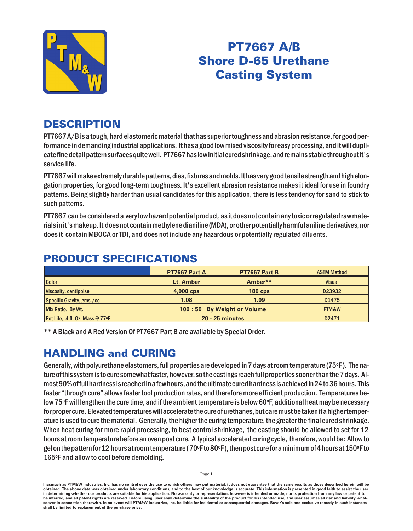

# PT7667 A/B **Shore D-65 Urethane Casting System**

### **DESCRIPTION**

PT7667 A/B is a tough, hard elastomeric material that has superior toughness and abrasion resistance, for good performance in demanding industrial applications. It has a good low mixed viscosity for easy processing, and it will duplicate fine detail pattern surfaces quite well. PT7667 has low initial cured shrinkage, and remains stable throughout it's service life.

PT7667 will make extremely durable patterns, dies, fixtures and molds. It has very good tensile strength and high elongation properties, for good long-term toughness. It's excellent abrasion resistance makes it ideal for use in foundry patterns. Being slightly harder than usual candidates for this application, there is less tendency for sand to stick to such patterns.

PT7667 can be considered a very low hazard potential product, as it does not contain any toxic or regulated raw materials in it's makeup. It does not contain methylene dianiline (MDA), or other potentially harmful aniline derivatives, nor does it contain MBOCA or TDI, and does not include any hazardous or potentially regulated diluents.

|                                 | PT7667 Part A                | PT7667 Part B | <b>ASTM Method</b> |
|---------------------------------|------------------------------|---------------|--------------------|
| <b>Color</b>                    | Lt. Amber                    | Amber**       | <b>Visual</b>      |
| Viscosity, centipoise           | 4,000 cps                    | $180$ cps     | D23932             |
| Specific Gravity, gms./cc       | 1.08                         | 1.09          | D <sub>1475</sub>  |
| Mix Ratio, By Wt.               | 100 : 50 By Weight or Volume |               | PTM&W              |
| Pot Life, 4 fl. Oz. Mass @ 77°F | <b>20 - 25 minutes</b>       |               | D2471              |

## PRODUCT SPECIFICATIONS

\*\* A Black and A Red Version Of PT7667 Part B are available by Special Order.

### **HANDLING and CURING**

Generally, with polyurethane elastomers, full properties are developed in 7 days at room temperature (75 $\circ$ F). The nature of this system is to cure somewhat faster, however, so the castings reach full properties sooner than the 7 days. Almost 90% of full hardness is reached in a few hours, and the ultimate cured hardness is achieved in 24 to 36 hours. This faster "through cure" allows faster tool production rates, and therefore more efficient production. Temperatures below 75°F will lengthen the cure time, and if the ambient temperature is below 60°F, additional heat may be necessary for proper cure. Elevated temperatures will accelerate the cure of urethanes, but care must be taken if a higher temperature is used to cure the material. Generally, the higher the curing temperature, the greater the final cured shrinkage. When heat curing for more rapid processing, to best control shrinkage, the casting should be allowed to set for 12 hours at room temperature before an oven post cure. A typical accelerated curing cycle, therefore, would be: Allow to gel on the pattern for 12 hours at room temperature (70°F to 80°F), then post cure for a minimum of 4 hours at 150°F to 165°F and allow to cool before demolding.

Inasmuch as PTM&W Industries, Inc. has no control over the use to which others may put material, it does not guarantee that the same results as those described herein will be obtained. The above data was obtained under laboratory conditions, and to the best of our knowledge is accurate. This information is presented in good faith to assist the user in determining whether our products are suitable for his application. No warranty or representation, however is intended or made, nor is protection from any law or patent to be inferred, and all patent rights are reserved. Before using, user shall determine the suitability of the product for his intended use, and user assumes all risk and liability whatsoever in connection therewith. In no event will PTM&W Industries, Inc. be liable for incidental or consequential damages. Buyer's sole and exclusive remedy in such instances shall be limited to replacement of the purchase price.